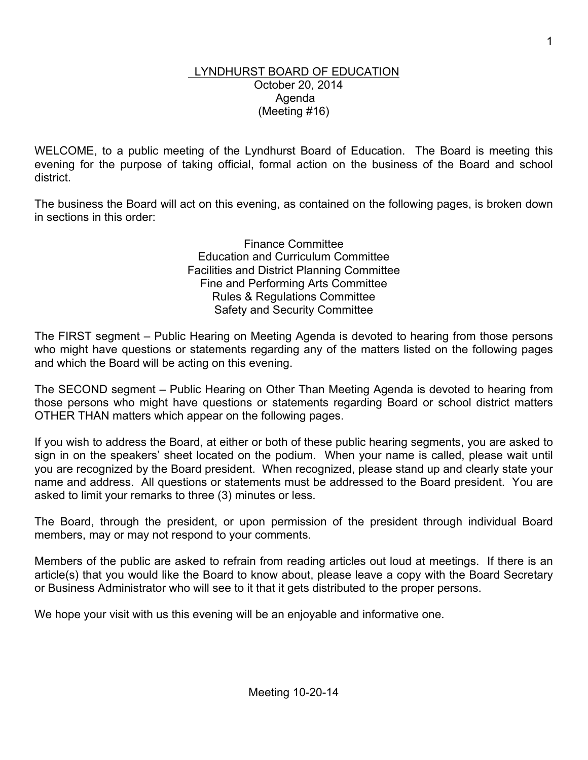#### LYNDHURST BOARD OF EDUCATION October 20, 2014 Agenda (Meeting #16)

WELCOME, to a public meeting of the Lyndhurst Board of Education. The Board is meeting this evening for the purpose of taking official, formal action on the business of the Board and school district.

The business the Board will act on this evening, as contained on the following pages, is broken down in sections in this order:

> Finance Committee Education and Curriculum Committee Facilities and District Planning Committee Fine and Performing Arts Committee Rules & Regulations Committee Safety and Security Committee

The FIRST segment – Public Hearing on Meeting Agenda is devoted to hearing from those persons who might have questions or statements regarding any of the matters listed on the following pages and which the Board will be acting on this evening.

The SECOND segment – Public Hearing on Other Than Meeting Agenda is devoted to hearing from those persons who might have questions or statements regarding Board or school district matters OTHER THAN matters which appear on the following pages.

If you wish to address the Board, at either or both of these public hearing segments, you are asked to sign in on the speakers' sheet located on the podium. When your name is called, please wait until you are recognized by the Board president. When recognized, please stand up and clearly state your name and address. All questions or statements must be addressed to the Board president. You are asked to limit your remarks to three (3) minutes or less.

The Board, through the president, or upon permission of the president through individual Board members, may or may not respond to your comments.

Members of the public are asked to refrain from reading articles out loud at meetings. If there is an article(s) that you would like the Board to know about, please leave a copy with the Board Secretary or Business Administrator who will see to it that it gets distributed to the proper persons.

We hope your visit with us this evening will be an enjoyable and informative one.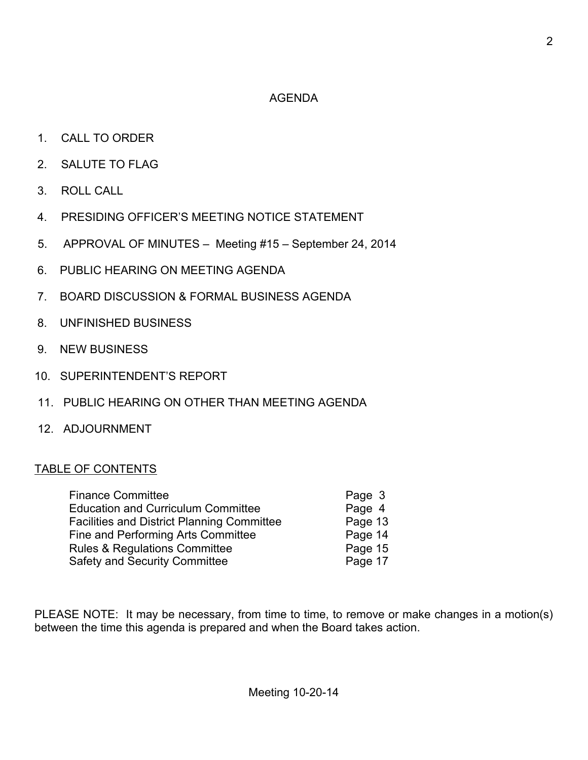### AGENDA

- 1. CALL TO ORDER
- 2. SALUTE TO FLAG
- 3. ROLL CALL
- 4. PRESIDING OFFICER'S MEETING NOTICE STATEMENT
- 5. APPROVAL OF MINUTES Meeting #15 September 24, 2014
- 6. PUBLIC HEARING ON MEETING AGENDA
- 7. BOARD DISCUSSION & FORMAL BUSINESS AGENDA
- 8. UNFINISHED BUSINESS
- 9. NEW BUSINESS
- 10. SUPERINTENDENT'S REPORT
- 11. PUBLIC HEARING ON OTHER THAN MEETING AGENDA
- 12. ADJOURNMENT

# TABLE OF CONTENTS

| <b>Finance Committee</b>                          | Page 3  |
|---------------------------------------------------|---------|
| <b>Education and Curriculum Committee</b>         | Page 4  |
| <b>Facilities and District Planning Committee</b> | Page 13 |
| <b>Fine and Performing Arts Committee</b>         | Page 14 |
| <b>Rules &amp; Regulations Committee</b>          | Page 15 |
| <b>Safety and Security Committee</b>              | Page 17 |

PLEASE NOTE: It may be necessary, from time to time, to remove or make changes in a motion(s) between the time this agenda is prepared and when the Board takes action.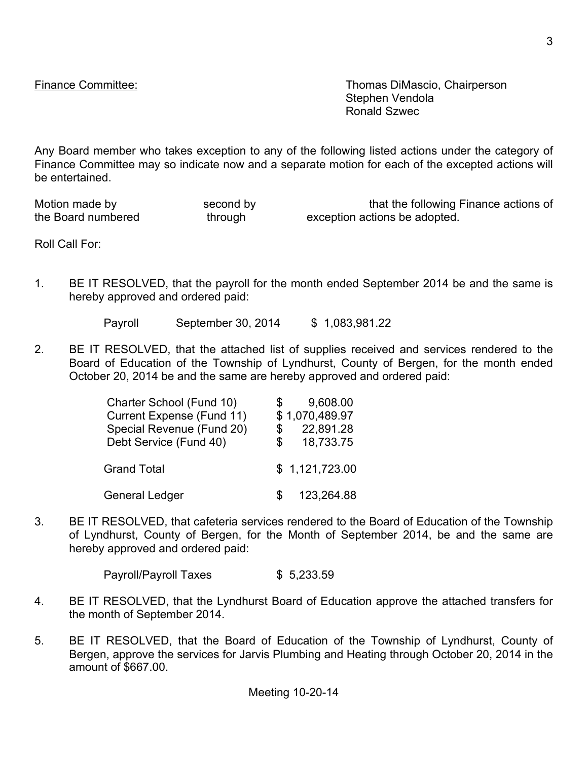Finance Committee: Thomas DiMascio, Chairperson Stephen Vendola Ronald Szwec

Any Board member who takes exception to any of the following listed actions under the category of Finance Committee may so indicate now and a separate motion for each of the excepted actions will be entertained.

the Board numbered through exception actions be adopted.

Motion made by second by second by that the following Finance actions of

Roll Call For:

1. BE IT RESOLVED, that the payroll for the month ended September 2014 be and the same is hereby approved and ordered paid:

Payroll September 30, 2014 \$ 1,083,981.22

2. BE IT RESOLVED, that the attached list of supplies received and services rendered to the Board of Education of the Township of Lyndhurst, County of Bergen, for the month ended October 20, 2014 be and the same are hereby approved and ordered paid:

| Charter School (Fund 10)  | 9,608.00<br>SS. |
|---------------------------|-----------------|
| Current Expense (Fund 11) | \$1,070,489.97  |
| Special Revenue (Fund 20) | 22,891.28<br>S  |
| Debt Service (Fund 40)    | 18,733.75<br>\$ |
| <b>Grand Total</b>        | \$1,121,723.00  |
| <b>General Ledger</b>     | 123,264.88      |

3. BE IT RESOLVED, that cafeteria services rendered to the Board of Education of the Township of Lyndhurst, County of Bergen, for the Month of September 2014, be and the same are hereby approved and ordered paid:

Payroll/Payroll Taxes \$ 5,233.59

- 4. BE IT RESOLVED, that the Lyndhurst Board of Education approve the attached transfers for the month of September 2014.
- 5. BE IT RESOLVED, that the Board of Education of the Township of Lyndhurst, County of Bergen, approve the services for Jarvis Plumbing and Heating through October 20, 2014 in the amount of \$667.00.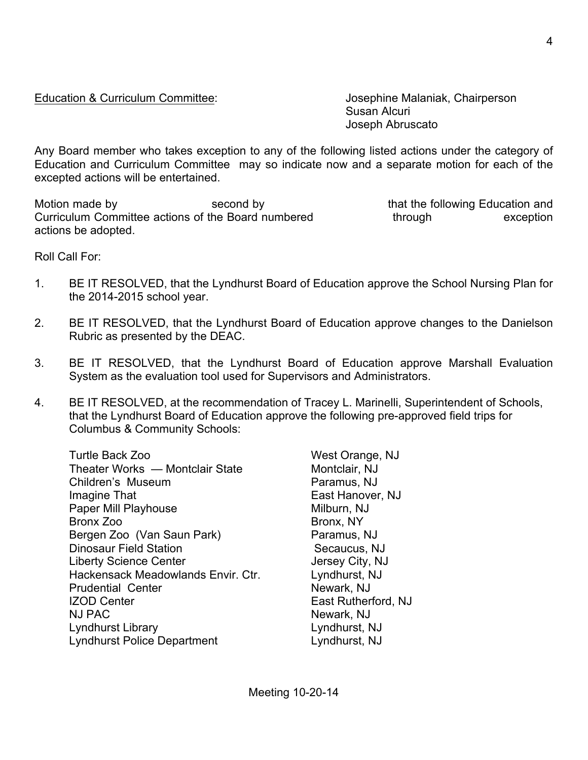Education & Curriculum Committee: Josephine Malaniak, Chairperson

Susan Alcuri Joseph Abruscato

Any Board member who takes exception to any of the following listed actions under the category of Education and Curriculum Committee may so indicate now and a separate motion for each of the excepted actions will be entertained.

Motion made by **Second by** second by that the following Education and Curriculum Committee actions of the Board numbered through through exception actions be adopted.

Roll Call For:

- 1. BE IT RESOLVED, that the Lyndhurst Board of Education approve the School Nursing Plan for the 2014-2015 school year.
- 2. BE IT RESOLVED, that the Lyndhurst Board of Education approve changes to the Danielson Rubric as presented by the DEAC.
- 3. BE IT RESOLVED, that the Lyndhurst Board of Education approve Marshall Evaluation System as the evaluation tool used for Supervisors and Administrators.
- 4. BE IT RESOLVED, at the recommendation of Tracey L. Marinelli, Superintendent of Schools, that the Lyndhurst Board of Education approve the following pre-approved field trips for Columbus & Community Schools:

Turtle Back Zoo West Orange, NJ Theater Works — Montclair State Montclair. NJ Children's Museum **Paramus, NJ** Imagine That **East Hanover, NJ** Paper Mill Playhouse Milburn, NJ Bronx Zoo Bronx, NY Bergen Zoo (Van Saun Park) Paramus, NJ Dinosaur Field Station Secaucus, NJ Liberty Science Center **Jersey City, NJ** Hackensack Meadowlands Envir. Ctr. Lyndhurst, NJ Prudential Center Newark, NJ IZOD Center **East Rutherford, NJ** NJ PAC Newark, NJ Lyndhurst Library Lyndhurst, NJ Lyndhurst Police Department Lyndhurst, NJ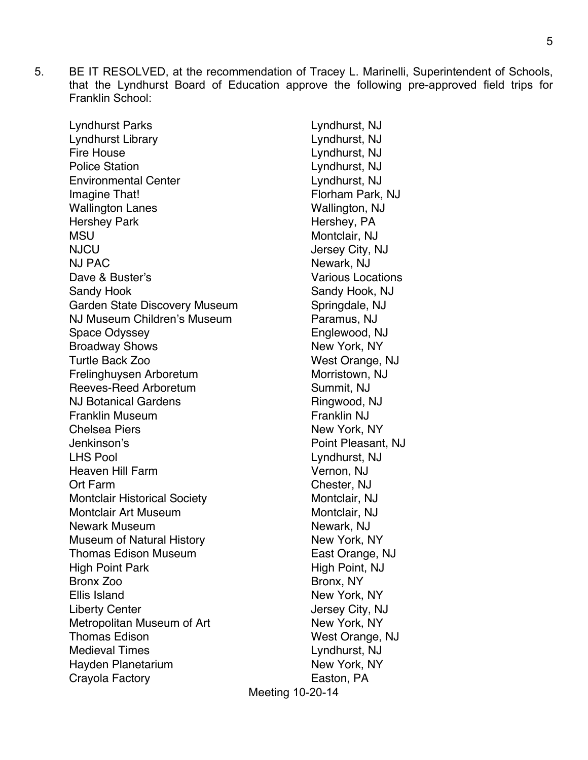5. BE IT RESOLVED, at the recommendation of Tracey L. Marinelli, Superintendent of Schools, that the Lyndhurst Board of Education approve the following pre-approved field trips for Franklin School:

| Lyndhurst Parks                     |
|-------------------------------------|
| <b>Lyndhurst Library</b>            |
| <b>Fire House</b>                   |
| <b>Police Station</b>               |
| <b>Environmental Center</b>         |
| Imagine That!                       |
| <b>Wallington Lanes</b>             |
| <b>Hershey Park</b>                 |
| MSU                                 |
| <b>NJCU</b>                         |
| <b>NJ PAC</b>                       |
| Dave & Buster's                     |
| <b>Sandy Hook</b>                   |
| Garden State Discovery Museum       |
| NJ Museum Children's Museum         |
| <b>Space Odyssey</b>                |
| <b>Broadway Shows</b>               |
| <b>Turtle Back Zoo</b>              |
| Frelinghuysen Arboretum             |
| Reeves-Reed Arboretum               |
| <b>NJ Botanical Gardens</b>         |
| <b>Franklin Museum</b>              |
| <b>Chelsea Piers</b>                |
| Jenkinson's                         |
| <b>LHS Pool</b>                     |
| <b>Heaven Hill Farm</b>             |
| Ort Farm                            |
| <b>Montclair Historical Society</b> |
| <b>Montclair Art Museum</b>         |
| <b>Newark Museum</b>                |
| <b>Museum of Natural History</b>    |
| <b>Thomas Edison Museum</b>         |
| <b>High Point Park</b>              |
| Bronx Zoo                           |
| Ellis Island                        |
| <b>Liberty Center</b>               |
| Metropolitan Museum of Art          |
| <b>Thomas Edison</b>                |
| <b>Medieval Times</b>               |
| Hayden Planetarium                  |
| Crayola Factory                     |

Meeting 10-20-14 Lyndhurst, NJ Lyndhurst, NJ Lyndhurst, NJ Lyndhurst, NJ Lyndhurst, NJ Florham Park, NJ Wallington, NJ Hershey, PA Montclair, NJ Jersey City, NJ Newark, NJ Various Locations Sandy Hook, NJ Springdale, NJ Paramus, NJ Englewood, NJ New York, NY West Orange, NJ Morristown, NJ Summit, NJ Ringwood, NJ Franklin NJ New York, NY Point Pleasant, NJ Lyndhurst, NJ Vernon, NJ Chester, NJ Montclair, NJ Montclair, NJ Newark, NJ New York, NY East Orange, NJ High Point, NJ Bronx, NY New York, NY Jersey City, NJ New York, NY West Orange, NJ Lyndhurst, NJ New York, NY Easton, PA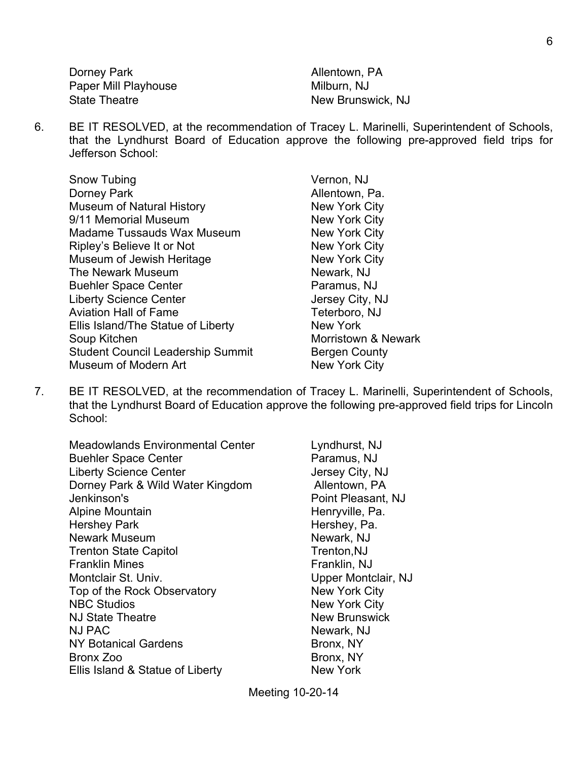Dorney Park **Allentown**, PA Paper Mill Playhouse Milburn, NJ State Theatre New Brunswick, NJ

6. BE IT RESOLVED, at the recommendation of Tracey L. Marinelli, Superintendent of Schools, that the Lyndhurst Board of Education approve the following pre-approved field trips for Jefferson School:

| Snow Tubing                              | Vernon, N         |
|------------------------------------------|-------------------|
| Dorney Park                              | Allentown         |
| Museum of Natural History                | <b>New York</b>   |
| 9/11 Memorial Museum                     | <b>New York</b>   |
| <b>Madame Tussauds Wax Museum</b>        | <b>New York</b>   |
| Ripley's Believe It or Not               | <b>New York</b>   |
| Museum of Jewish Heritage                | <b>New York</b>   |
| The Newark Museum                        | Newark, N         |
| <b>Buehler Space Center</b>              | Paramus,          |
| <b>Liberty Science Center</b>            | <b>Jersey Cit</b> |
| <b>Aviation Hall of Fame</b>             | Teterboro         |
| Ellis Island/The Statue of Liberty       | <b>New York</b>   |
| Soup Kitchen                             | Morristow         |
| <b>Student Council Leadership Summit</b> | Bergen C          |
| Museum of Modern Art                     | <b>New York</b>   |
|                                          |                   |

non, NJ ntown, Pa. v York City v York City v York City v York City v York City vark, NJ amus, NJ sey City, NJ erboro, NJ ristown & Newark gen County v York City

7. BE IT RESOLVED, at the recommendation of Tracey L. Marinelli, Superintendent of Schools, that the Lyndhurst Board of Education approve the following pre-approved field trips for Lincoln School:

| Meadowlands Environmental Center<br><b>Buehler Space Center</b><br><b>Liberty Science Center</b> |
|--------------------------------------------------------------------------------------------------|
| Dorney Park & Wild Water Kingdom                                                                 |
| Jenkinson's                                                                                      |
| Alpine Mountain                                                                                  |
| <b>Hershey Park</b>                                                                              |
| <b>Newark Museum</b>                                                                             |
| <b>Trenton State Capitol</b>                                                                     |
| Franklin Mines                                                                                   |
| Montclair St. Univ.                                                                              |
| Top of the Rock Observatory                                                                      |
| <b>NBC Studios</b>                                                                               |
| <b>NJ State Theatre</b>                                                                          |
| NJ PAC                                                                                           |
| <b>NY Botanical Gardens</b>                                                                      |
| Bronx Zoo                                                                                        |
| Ellis Island & Statue of Liberty                                                                 |

Lyndhurst, NJ Paramus, NJ Jersey City, NJ Allentown, PA Point Pleasant, NJ Henryville, Pa. Hershey, Pa. Newark, NJ Trenton,NJ Franklin, NJ Upper Montclair, NJ New York City New York City New Brunswick Newark, NJ Bronx, NY Bronx, NY New York

Meeting 10-20-14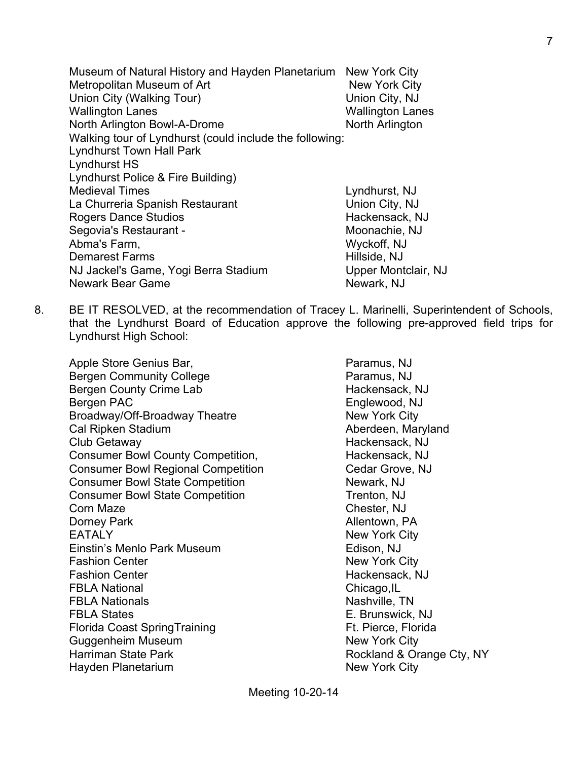Museum of Natural History and Hayden Planetarium New York City Metropolitan Museum of Art New York City Union City (Walking Tour) Union City, NJ Wallington Lanes Wallington Lanes North Arlington Bowl-A-Drome North Arlington Walking tour of Lyndhurst (could include the following: Lyndhurst Town Hall Park Lyndhurst HS Lyndhurst Police & Fire Building) Medieval Times **Lyndhurst**, NJ La Churreria Spanish Restaurant Union City, NJ Rogers Dance Studios **Hackensack, NJ** Rogers Dance Studios Segovia's Restaurant - Moonachie, NJ Abma's Farm, Wyckoff, NJ Demarest Farms Hillside, NJ NJ Jackel's Game, Yogi Berra Stadium Upper Montclair, NJ Newark Bear Game Newark, NJ

8. BE IT RESOLVED, at the recommendation of Tracey L. Marinelli, Superintendent of Schools, that the Lyndhurst Board of Education approve the following pre-approved field trips for Lyndhurst High School:

Apple Store Genius Bar, **Paramus, NJ** Bergen Community College **Paramus, NJ** Bergen County Crime Lab Hackensack, NJ Bergen PAC **Englewood, NJ** Broadway/Off-Broadway Theatre New York City Cal Ripken Stadium Aberdeen, Maryland Club Getaway Hackensack, NJ Consumer Bowl County Competition, The Mackensack, NJ Consumer Bowl Regional Competition Cedar Grove, NJ Consumer Bowl State Competition Newark, NJ Consumer Bowl State Competition Trenton, NJ **Corn Maze** Corn Maze **Corn Maze** Corn Maze **Corn Maze** Corn Chester, NJ Dorney Park **Allentown**, PA EATALY New York City Einstin's Menlo Park Museum **Edison, NJ** Fashion Center New York City Fashion Center **Hackensack, NJ** FBLA National Chicago, IL FBLA Nationals **Nationals** Nashville, TN FBLA States E. Brunswick, NJ Florida Coast SpringTraining Ft. Pierce, Florida Guggenheim Museum New York City Harriman State Park **Rockland & Orange Cty, NY** Hayden Planetarium New York City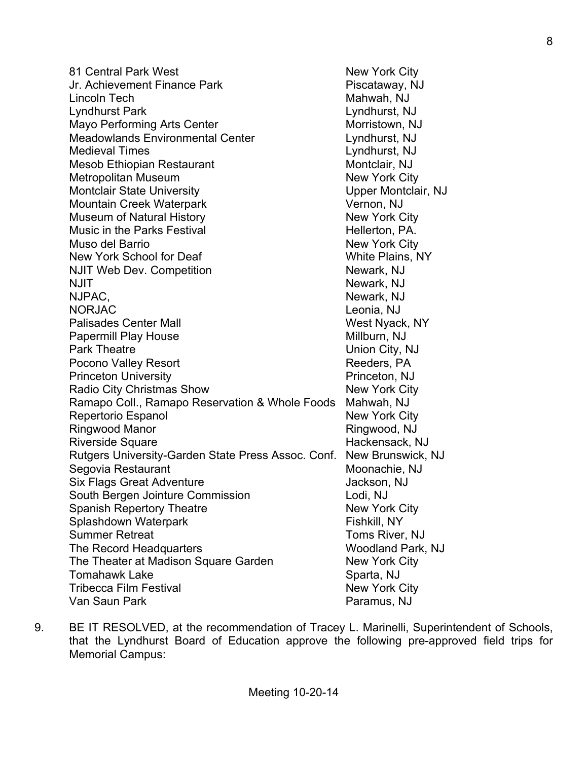81 Central Park West New York City Jr. Achievement Finance Park **Pick Achievement Finance Park** Piscataway, NJ Lincoln Tech Mahwah, NJ Lyndhurst Park Lyndhurst, NJ Mayo Performing Arts Center Morristown, NJ Meadowlands Environmental Center Lyndhurst, NJ Medieval Times Lyndhurst, NJ Mesob Ethiopian Restaurant Montclair, NJ Metropolitan Museum New York City Montclair State University **Nontclair State University** Upper Montclair, NJ Mountain Creek Waterpark Vernon, NJ Museum of Natural History New York City Music in the Parks Festival **Hellerton**, PA. Muso del Barrio **New York City** New York School for Deaf New York School for Deaf New York School for Deaf New York School and New York School NJIT Web Dev. Competition Newark, NJ NJIT NOW AND THE MEMBERS OF THE MEMBERS OF THE MEMBERS OF THE MEMBERS OF THE MEMBERS OF THE MEMBERS OF THE MEMBERS OF THE MEMBERS OF THE MEMBERS OF THE MEMBERS OF THE MEMBERS OF THE MEMBERS OF THE MEMBERS OF THE MEMBERS OF NJPAC, NEWARK, NJ NORJAC Leonia, NJ Palisades Center Mall New York West Nyack, NY Papermill Play House Millburn, NJ Park Theatre **National City**, NJ Pocono Valley Resort **Reeders**, PA Princeton University **Princeton, NJ** Radio City Christmas Show New York City Ramapo Coll., Ramapo Reservation & Whole Foods Mahwah, NJ Repertorio Espanol New York City Ringwood Manor **Ringwood, NJ** Riverside Square **Hackensack, NJ** Rutgers University-Garden State Press Assoc. Conf. New Brunswick, NJ Segovia Restaurant Moonachie, NJ Six Flags Great Adventure Jackson, NJ South Bergen Jointure Commission Lodi, NJ Spanish Repertory Theatre New York City Splashdown Waterpark Fishkill, NY Summer Retreat Toms River, NJ The Record Headquarters Woodland Park, NJ The Theater at Madison Square Garden New York City Tomahawk Lake Sparta, NJ Tribecca Film Festival New York City Van Saun Park **Paramus, NJ** 

9. BE IT RESOLVED, at the recommendation of Tracey L. Marinelli, Superintendent of Schools, that the Lyndhurst Board of Education approve the following pre-approved field trips for Memorial Campus: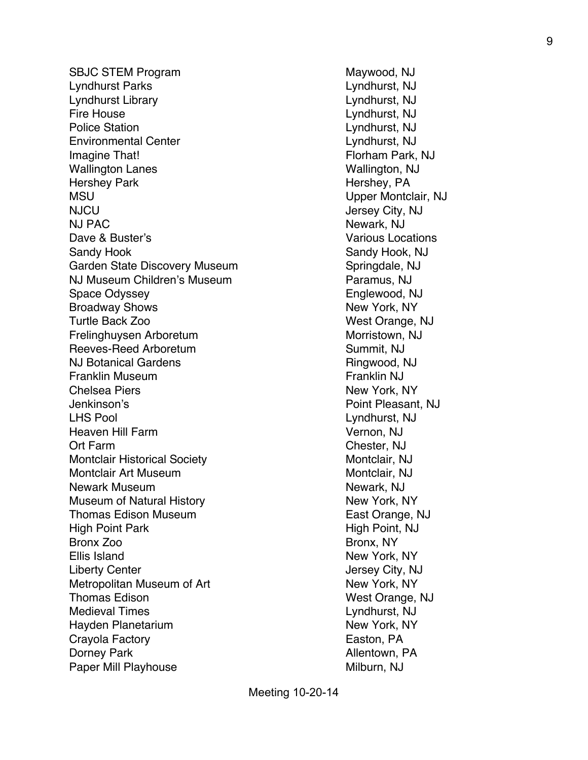SBJC STEM Program Maywood, NJ Lyndhurst Parks Lyndhurst, NJ Lyndhurst Library Lyndhurst, NJ Fire House Lyndhurst, NJ Police Station Lyndhurst, NJ Environmental Center Lyndhurst, NJ Imagine That! **Florham Park, NJ** Wallington Lanes Wallington, NJ Hershey Park **Hershey, PA** MSU Upper Montclair, NJ NJCU Jersey City, NJ NJ PAC Newark, NJ Dave & Buster's **Value 2018** Various Locations Sandy Hook Sandy Hook, NJ Garden State Discovery Museum Springdale, NJ NJ Museum Children's Museum **Paramus, NJ** Space Odyssey **Englewood, NJ** Broadway Shows New York, NY Turtle Back Zoo **West Orange, NJ** Frelinghuysen Arboretum Morristown, NJ Reeves-Reed Arboretum Summit, NJ NJ Botanical Gardens Ringwood, NJ Franklin Museum **Franklin NJ** Chelsea Piers New York, NY Jenkinson's Point Pleasant, NJ LHS Pool Lyndhurst, NJ Heaven Hill Farm Vernon, NJ Ort Farm Chester, NJ Montclair Historical Society Montclair, NJ Montclair Art Museum **Montclair**, NJ Newark Museum Newark, NJ Museum of Natural History New York, NY Thomas Edison Museum **East Orange, NJ** High Point Park High Point, NJ Bronx Zoo Bronx, NY Ellis Island New York, NY Liberty Center **Jersey City, NJ** Metropolitan Museum of Art New York, NY Thomas Edison West Orange, NJ Medieval Times Lyndhurst, NJ Hayden Planetarium New York, NY Crayola Factory **Easton, PA** Dorney Park **Allentown**, PA Paper Mill Playhouse Milburn, NJ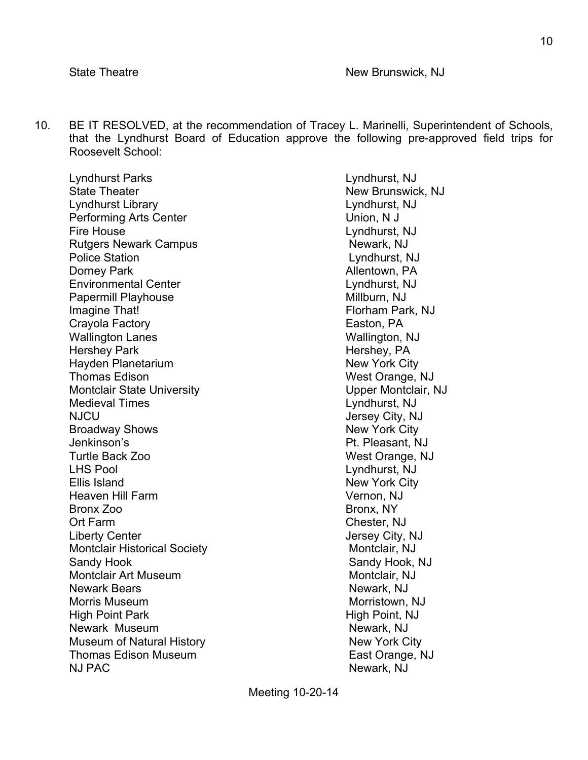10. BE IT RESOLVED, at the recommendation of Tracey L. Marinelli, Superintendent of Schools, that the Lyndhurst Board of Education approve the following pre-approved field trips for Roosevelt School:

Lyndhurst Parks Lyndhurst, NJ State Theater New Brunswick, NJ Lyndhurst Library Lyndhurst, NJ Performing Arts Center **Network** Union, N J Fire House Lyndhurst, NJ Rutgers Newark Campus Newark, NJ Police Station Lyndhurst, NJ Dorney Park **Allentown, PA** Environmental Center Lyndhurst, NJ Papermill Playhouse **Millburn, NJ** Imagine That! **Florham Park, NJ** Crayola Factory **Easton, PA** Wallington Lanes Wallington, NJ Hershey Park **Hershey, PA** Hayden Planetarium New York City Thomas Edison Number of Thomas Edison Number of Thomas Edison Number of Thomas West Orange, NJ Montclair State University **Nontclair State University** Upper Montclair, NJ Medieval Times Lyndhurst, NJ NJCU Jersey City, NJ Broadway Shows New York City Jenkinson's Pt. Pleasant, NJ Turtle Back Zoo West Orange, NJ LHS Pool Lyndhurst, NJ Ellis Island New York City Heaven Hill Farm Vernon, NJ Bronx Zoo Bronx, NY Ort Farm Chester, NJ Liberty Center  $\qquad \qquad$  Liberty City, NJ Montclair Historical Society Montclair, NJ Sandy Hook **Sandy Hook** Sandy Hook, NJ Montclair Art Museum Montclair, NJ Newark Bears **Newark Bears** Newark, NJ Morris Museum **Morristown**, NJ High Point Park High Point, NJ Newark Museum Newark, NJ Museum of Natural History New York City Thomas Edison Museum **East Orange, NJ** NJ PAC Newark, NJ

Meeting 10-20-14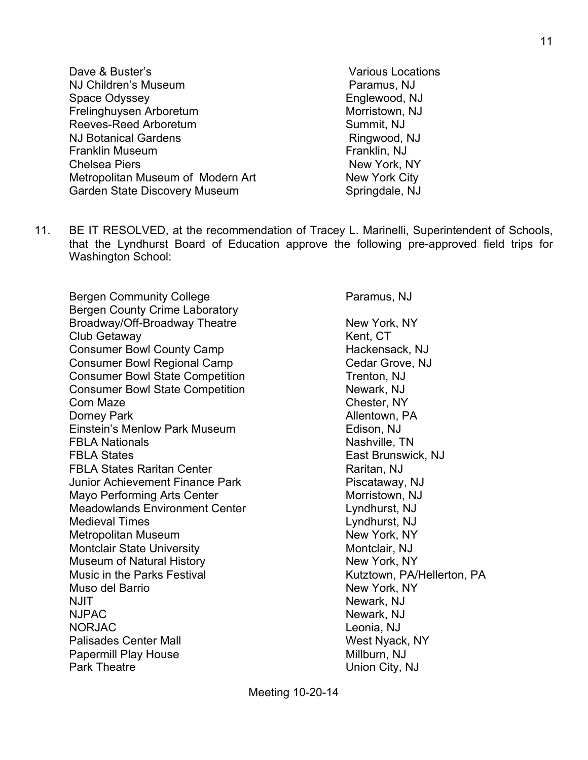- Dave & Buster's Various Locations NJ Children's Museum **Paramus, NJ** Paramus, NJ Space Odyssey **Englewood, NJ** Frelinghuysen Arboretum Morristown, NJ Reeves-Reed Arboretum Number 2012 1994 Summit, NJ NJ Botanical Gardens Ringwood, NJ Franklin Museum **Franklin**, NJ Chelsea Piers New York, NY Metropolitan Museum of Modern Art New York City Garden State Discovery Museum Springdale, NJ
	-
- 11. BE IT RESOLVED, at the recommendation of Tracey L. Marinelli, Superintendent of Schools, that the Lyndhurst Board of Education approve the following pre-approved field trips for Washington School:

Bergen Community College **Paramus, NJ** Bergen County Crime Laboratory Broadway/Off-Broadway Theatre New York, NY Club Getaway **Kent, CT** Consumer Bowl County Camp Fig. 2012 11:30 Hackensack, NJ Consumer Bowl Regional Camp Consumer Bowl Regional Camp Consumer Bowl State Competition Trenton, NJ Consumer Bowl State Competition Newark, NJ Corn Maze Chester, NY Dorney Park **Allentown**, PA Einstein's Menlow Park Museum **Edison, NJ FBLA Nationals** Nashville, TN **FBLA States East Brunswick, NJ** FBLA States Raritan Center **Raritan**, NJ Junior Achievement Finance Park Piscataway, NJ Mayo Performing Arts Center Morristown, NJ Meadowlands Environment Center Lyndhurst, NJ Medieval Times **Lyndhurst**, NJ Metropolitan Museum New York, NY Montclair State University Montclair, NJ Museum of Natural History New York, NY Music in the Parks Festival Music in the Parks Festival Kutztown, PA/Hellerton, PA Muso del Barrio **New York, NY** NJIT NEWARK, NJ NJPAC Newark, NJ NORJAC Leonia, NJ Palisades Center Mall West Nyack, NY Papermill Play House Millburn, NJ Park Theatre **Vertex** 2008 **Union City, NJ**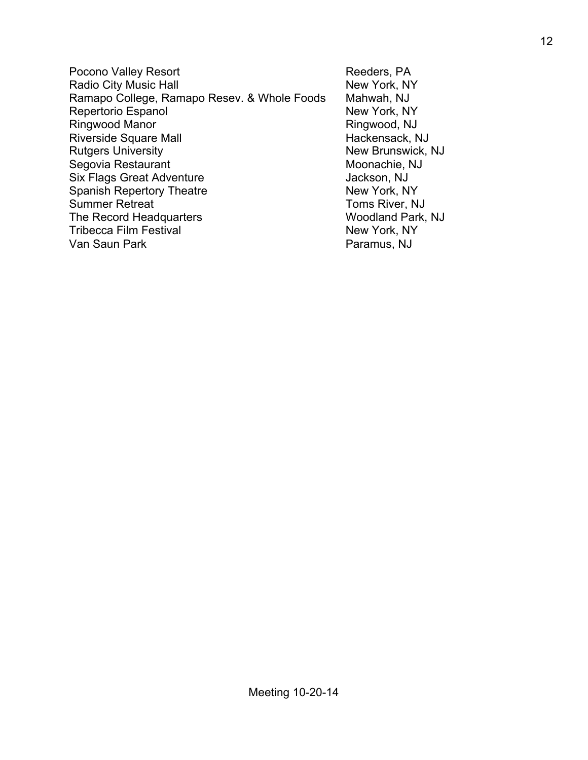Pocono Valley Resort **Reeders**, PA Radio City Music Hall New York, NY Ramapo College, Ramapo Resev. & Whole Foods Mahwah, NJ Repertorio Espanol New York, NY Ringwood Manor **Ringwood, NJ** Riverside Square Mall **Hackensack, NJ** Rutgers University New Brunswick, NJ Segovia Restaurant Moonachie, NJ Six Flags Great Adventure Jackson, NJ Spanish Repertory Theatre New York, NY Summer Retreat Toms River, NJ The Record Headquarters Woodland Park, NJ Tribecca Film Festival New York, NY Van Saun Park **Paramus, NJ**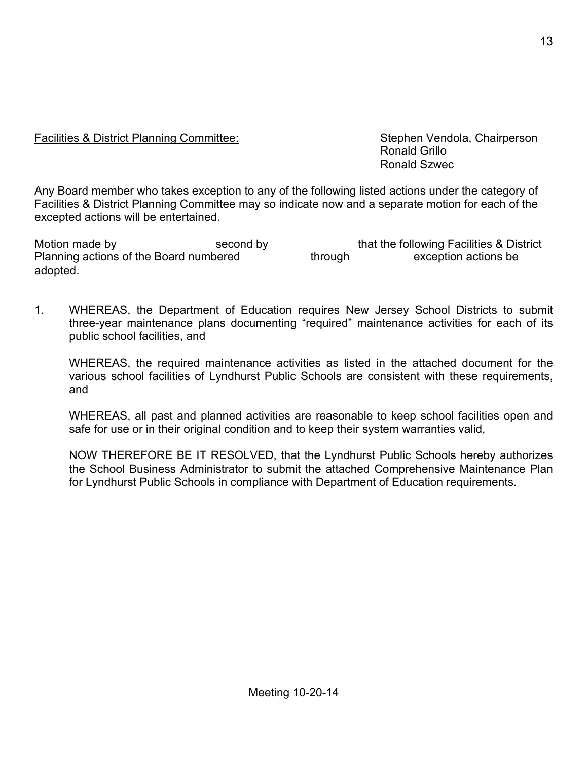# Facilities & District Planning Committee: Stephen Vendola, Chairperson

 Ronald Grillo Ronald Szwec

Any Board member who takes exception to any of the following listed actions under the category of Facilities & District Planning Committee may so indicate now and a separate motion for each of the excepted actions will be entertained.

Motion made by second by that the following Facilities & District Planning actions of the Board numbered through exception actions be adopted.

1. WHEREAS, the Department of Education requires New Jersey School Districts to submit three-year maintenance plans documenting "required" maintenance activities for each of its public school facilities, and

WHEREAS, the required maintenance activities as listed in the attached document for the various school facilities of Lyndhurst Public Schools are consistent with these requirements, and

WHEREAS, all past and planned activities are reasonable to keep school facilities open and safe for use or in their original condition and to keep their system warranties valid,

NOW THEREFORE BE IT RESOLVED, that the Lyndhurst Public Schools hereby authorizes the School Business Administrator to submit the attached Comprehensive Maintenance Plan for Lyndhurst Public Schools in compliance with Department of Education requirements.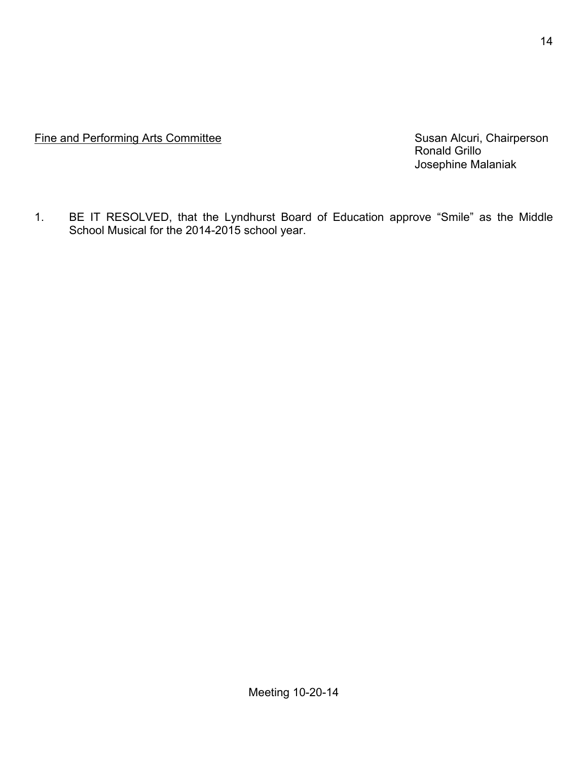Fine and Performing Arts Committee **Susan Alcuri, Chairperson** Susan Alcuri, Chairperson

Ronald Grillo Josephine Malaniak

1. BE IT RESOLVED, that the Lyndhurst Board of Education approve "Smile" as the Middle School Musical for the 2014-2015 school year.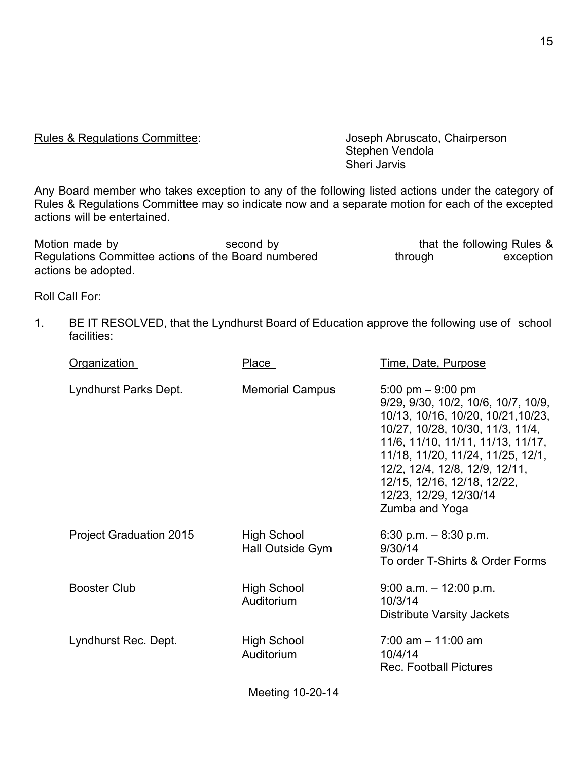Rules & Regulations Committee: Joseph Abruscato, Chairperson

Stephen Vendola Sheri Jarvis

Any Board member who takes exception to any of the following listed actions under the category of Rules & Regulations Committee may so indicate now and a separate motion for each of the excepted actions will be entertained.

Motion made by Second by Second by that the following Rules & Regulations Committee actions of the Board numbered through through exception actions be adopted.

Roll Call For:

1. BE IT RESOLVED, that the Lyndhurst Board of Education approve the following use of school facilities:

| Organization                   | Place                                  | Time, Date, Purpose                                                                                                                                                                                                                                                                                                         |
|--------------------------------|----------------------------------------|-----------------------------------------------------------------------------------------------------------------------------------------------------------------------------------------------------------------------------------------------------------------------------------------------------------------------------|
| Lyndhurst Parks Dept.          | <b>Memorial Campus</b>                 | 5:00 pm $-$ 9:00 pm<br>9/29, 9/30, 10/2, 10/6, 10/7, 10/9,<br>10/13, 10/16, 10/20, 10/21, 10/23,<br>10/27, 10/28, 10/30, 11/3, 11/4,<br>11/6, 11/10, 11/11, 11/13, 11/17,<br>11/18, 11/20, 11/24, 11/25, 12/1,<br>12/2, 12/4, 12/8, 12/9, 12/11,<br>12/15, 12/16, 12/18, 12/22,<br>12/23, 12/29, 12/30/14<br>Zumba and Yoga |
| <b>Project Graduation 2015</b> | <b>High School</b><br>Hall Outside Gym | 6:30 p.m. $-8.30$ p.m.<br>9/30/14<br>To order T-Shirts & Order Forms                                                                                                                                                                                                                                                        |
| <b>Booster Club</b>            | <b>High School</b><br>Auditorium       | $9:00$ a.m. $-12:00$ p.m.<br>10/3/14<br>Distribute Varsity Jackets                                                                                                                                                                                                                                                          |
| Lyndhurst Rec. Dept.           | <b>High School</b><br>Auditorium       | $7:00$ am $-11:00$ am<br>10/4/14<br><b>Rec. Football Pictures</b>                                                                                                                                                                                                                                                           |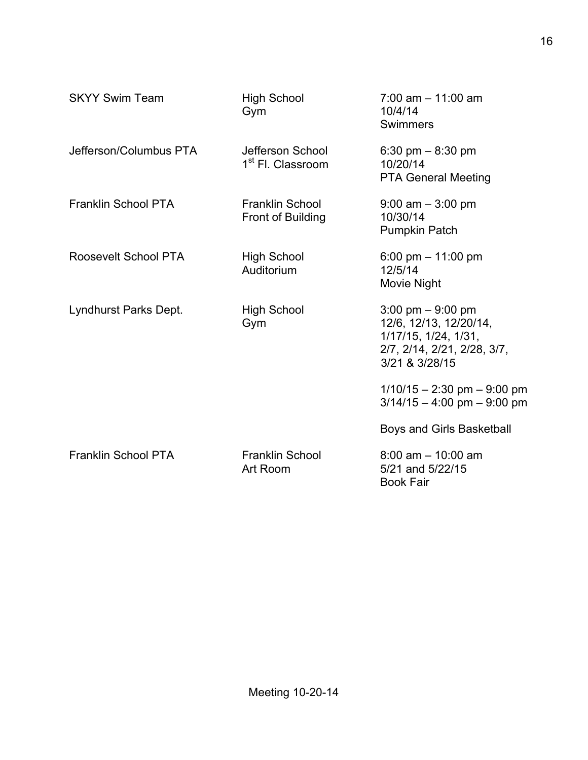| <b>SKYY Swim Team</b>      | <b>High School</b><br>Gym                         | $7:00$ am $-11:00$ am<br>10/4/14<br>Swimmers                                                                                           |
|----------------------------|---------------------------------------------------|----------------------------------------------------------------------------------------------------------------------------------------|
| Jefferson/Columbus PTA     | Jefferson School<br>1 <sup>st</sup> Fl. Classroom | 6:30 pm $-$ 8:30 pm<br>10/20/14<br><b>PTA General Meeting</b>                                                                          |
| <b>Franklin School PTA</b> | <b>Franklin School</b><br>Front of Building       | $9:00$ am $-3:00$ pm<br>10/30/14<br><b>Pumpkin Patch</b>                                                                               |
| Roosevelt School PTA       | <b>High School</b><br>Auditorium                  | 6:00 pm $-$ 11:00 pm<br>12/5/14<br>Movie Night                                                                                         |
| Lyndhurst Parks Dept.      | <b>High School</b><br>Gym                         | $3:00 \text{ pm} - 9:00 \text{ pm}$<br>12/6, 12/13, 12/20/14,<br>1/17/15, 1/24, 1/31,<br>2/7, 2/14, 2/21, 2/28, 3/7,<br>3/21 & 3/28/15 |
|                            |                                                   | $1/10/15 - 2:30$ pm $- 9:00$ pm<br>$3/14/15 - 4:00$ pm $-9:00$ pm                                                                      |
|                            |                                                   | Boys and Girls Basketball                                                                                                              |
| <b>Franklin School PTA</b> | <b>Franklin School</b><br>Art Room                | $8:00$ am $-10:00$ am<br>5/21 and 5/22/15<br><b>Book Fair</b>                                                                          |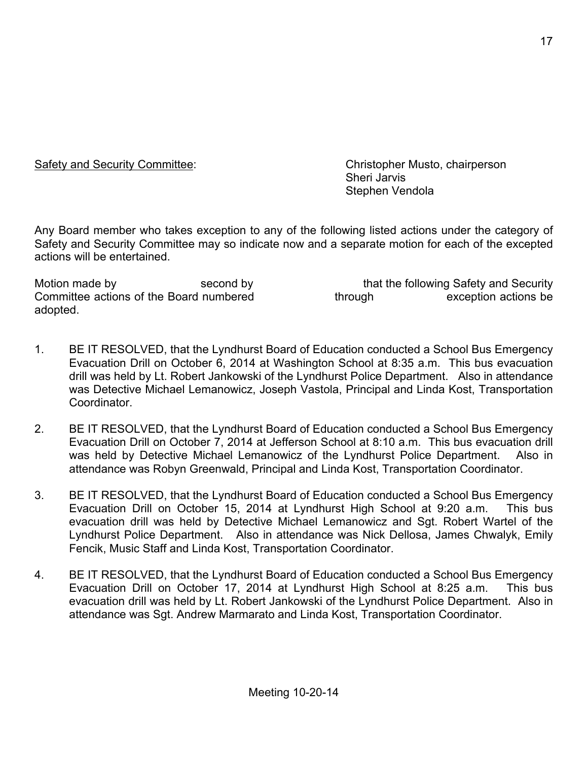Safety and Security Committee: Christopher Musto, chairperson Sheri Jarvis Stephen Vendola

Any Board member who takes exception to any of the following listed actions under the category of Safety and Security Committee may so indicate now and a separate motion for each of the excepted actions will be entertained.

Motion made by second by second by that the following Safety and Security Committee actions of the Board numbered through through exception actions be adopted.

- 1. BE IT RESOLVED, that the Lyndhurst Board of Education conducted a School Bus Emergency Evacuation Drill on October 6, 2014 at Washington School at 8:35 a.m. This bus evacuation drill was held by Lt. Robert Jankowski of the Lyndhurst Police Department. Also in attendance was Detective Michael Lemanowicz, Joseph Vastola, Principal and Linda Kost, Transportation Coordinator.
- 2. BE IT RESOLVED, that the Lyndhurst Board of Education conducted a School Bus Emergency Evacuation Drill on October 7, 2014 at Jefferson School at 8:10 a.m. This bus evacuation drill was held by Detective Michael Lemanowicz of the Lyndhurst Police Department. Also in attendance was Robyn Greenwald, Principal and Linda Kost, Transportation Coordinator.
- 3. BE IT RESOLVED, that the Lyndhurst Board of Education conducted a School Bus Emergency Evacuation Drill on October 15, 2014 at Lyndhurst High School at 9:20 a.m. This bus evacuation drill was held by Detective Michael Lemanowicz and Sgt. Robert Wartel of the Lyndhurst Police Department. Also in attendance was Nick Dellosa, James Chwalyk, Emily Fencik, Music Staff and Linda Kost, Transportation Coordinator.
- 4. BE IT RESOLVED, that the Lyndhurst Board of Education conducted a School Bus Emergency Evacuation Drill on October 17, 2014 at Lyndhurst High School at 8:25 a.m. This bus evacuation drill was held by Lt. Robert Jankowski of the Lyndhurst Police Department. Also in attendance was Sgt. Andrew Marmarato and Linda Kost, Transportation Coordinator.